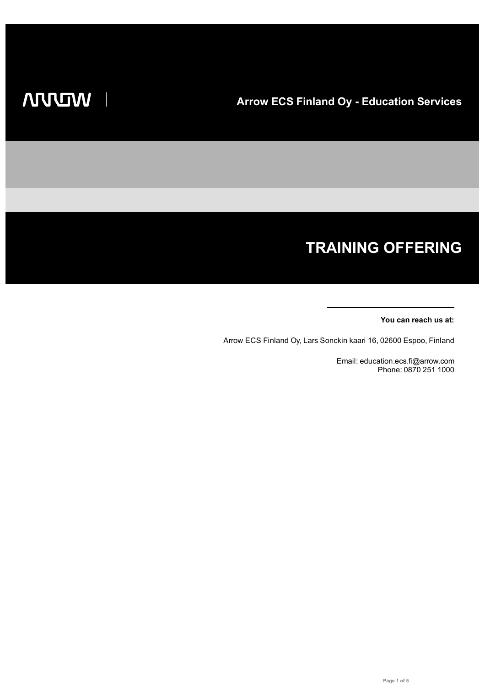# **TRAINING OFFERING**

#### **You can reach us at:**

Arrow ECS Finland Oy, Lars Sonckin kaari 16, 02600 Espoo, Finland

Email: education.ecs.fi@arrow.com Phone: 0870 251 1000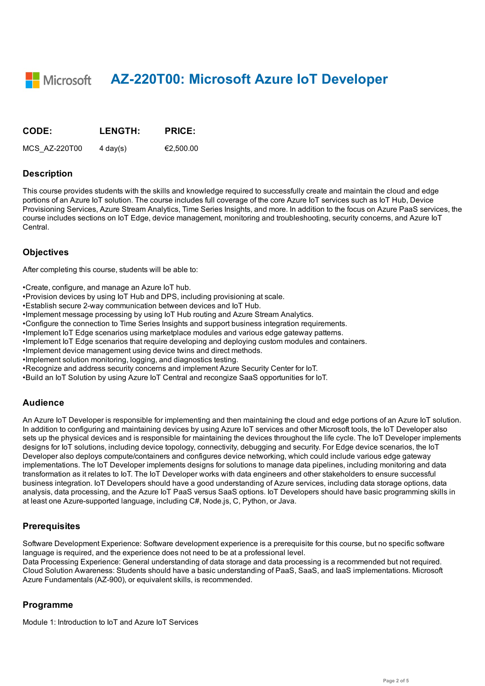**AZ-220T00: Microsoft Azure IoT Developer**

| CODE:         | <b>LENGTH:</b>     | <b>PRICE:</b> |
|---------------|--------------------|---------------|
| MCS AZ-220T00 | $4 \text{ day}(s)$ | €2.500.00     |

#### **Description**

This course provides students with the skills and knowledge required to successfully create and maintain the cloud and edge portions of an Azure IoT solution. The course includes full coverage of the core Azure IoT services such as IoT Hub, Device Provisioning Services, Azure Stream Analytics, Time Series Insights, and more. In addition to the focus on Azure PaaS services, the course includes sections on IoT Edge, device management, monitoring and troubleshooting, security concerns, and Azure IoT Central.

### **Objectives**

After completing this course, students will be able to:

- •Create, configure, and manage an Azure IoT hub.
- •Provision devices by using IoT Hub and DPS, including provisioning at scale.
- •Establish secure 2-way communication between devices and IoT Hub.
- •Implement message processing by using IoT Hub routing and Azure Stream Analytics.
- •Configure the connection to Time Series Insights and support business integration requirements.
- •Implement IoT Edge scenarios using marketplace modules and various edge gateway patterns.
- •Implement IoT Edge scenarios that require developing and deploying custom modules and containers.
- •Implement device management using device twins and direct methods.
- •Implement solution monitoring, logging, and diagnostics testing.
- •Recognize and address security concerns and implement Azure Security Center for IoT.
- •Build an IoT Solution by using Azure IoT Central and recongize SaaS opportunities for IoT.

### **Audience**

An Azure IoT Developer is responsible for implementing and then maintaining the cloud and edge portions of an Azure IoT solution. In addition to configuring and maintaining devices by using Azure IoT services and other Microsoft tools, the IoT Developer also sets up the physical devices and is responsible for maintaining the devices throughout the life cycle. The IoT Developer implements designs for IoT solutions, including device topology, connectivity, debugging and security. For Edge device scenarios, the IoT Developer also deploys compute/containers and configures device networking, which could include various edge gateway implementations. The IoT Developer implements designs for solutions to manage data pipelines, including monitoring and data transformation as it relates to IoT. The IoT Developer works with data engineers and other stakeholders to ensure successful business integration. IoT Developers should have a good understanding of Azure services, including data storage options, data analysis, data processing, and the Azure IoT PaaS versus SaaS options. IoT Developers should have basic programming skills in at least one Azure-supported language, including C#, Node.js, C, Python, or Java.

### **Prerequisites**

Software Development Experience: Software development experience is a prerequisite for this course, but no specific software language is required, and the experience does not need to be at a professional level.

Data Processing Experience: General understanding of data storage and data processing is a recommended but not required. Cloud Solution Awareness: Students should have a basic understanding of PaaS, SaaS, and IaaS implementations. Microsoft Azure Fundamentals (AZ-900), or equivalent skills, is recommended.

### **Programme**

Module 1: Introduction to IoT and Azure IoT Services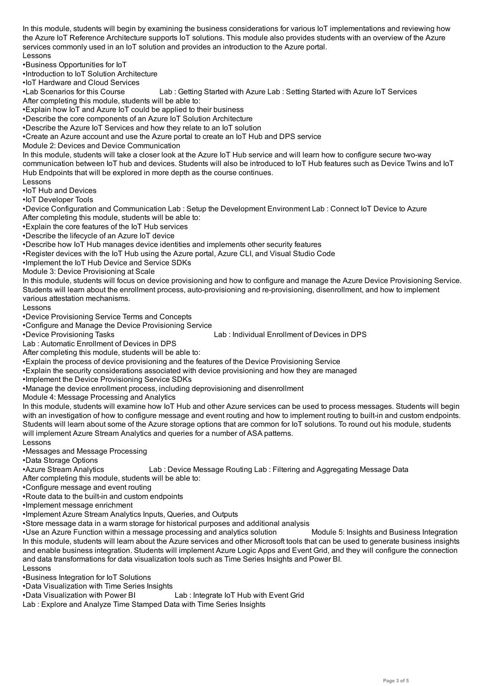the Azure IoT Reference Architecture supports IoT solutions. This module also provides students with an overview of the Azure services commonly used in an IoT solution and provides an introduction to the Azure portal.

Lessons

•Business Opportunities for IoT

•Introduction to IoT Solution Architecture

•IoT Hardware and Cloud Services

•Lab Scenarios for this Course Lab : Getting Started with Azure Lab : Setting Started with Azure IoT Services

After completing this module, students will be able to:

•Explain how IoT and Azure IoT could be applied to their business

•Describe the core components of an Azure IoT Solution Architecture

•Describe the Azure IoT Services and how they relate to an IoT solution

•Create an Azure account and use the Azure portal to create an IoT Hub and DPS service

Module 2: Devices and Device Communication

In this module, students will take a closer look at the Azure IoT Hub service and will learn how to configure secure two-way communication between IoT hub and devices. Students will also be introduced to IoT Hub features such as Device Twins and IoT Hub Endpoints that will be explored in more depth as the course continues.

Lessons

•IoT Hub and Devices

•IoT Developer Tools

•Device Configuration and Communication Lab : Setup the Development Environment Lab : Connect IoT Device to Azure After completing this module, students will be able to:

•Explain the core features of the IoT Hub services

•Describe the lifecycle of an Azure IoT device

•Describe how IoT Hub manages device identities and implements other security features

•Register devices with the IoT Hub using the Azure portal, Azure CLI, and Visual Studio Code

•Implement the IoT Hub Device and Service SDKs

Module 3: Device Provisioning at Scale

In this module, students will focus on device provisioning and how to configure and manage the Azure Device Provisioning Service. Students will learn about the enrollment process, auto-provisioning and re-provisioning, disenrollment, and how to implement various attestation mechanisms.

Lessons

•Device Provisioning Service Terms and Concepts

•Configure and Manage the Device Provisioning Service

•Device Provisioning Tasks Lab : Individual Enrollment of Devices in DPS

Lab : Automatic Enrollment of Devices in DPS

After completing this module, students will be able to:

•Explain the process of device provisioning and the features of the Device Provisioning Service

•Explain the security considerations associated with device provisioning and how they are managed

•Implement the Device Provisioning Service SDKs

•Manage the device enrollment process, including deprovisioning and disenrollment

Module 4: Message Processing and Analytics

In this module, students will examine how IoT Hub and other Azure services can be used to process messages. Students will begin with an investigation of how to configure message and event routing and how to implement routing to built-in and custom endpoints. Students will learn about some of the Azure storage options that are common for IoT solutions. To round out his module, students will implement Azure Stream Analytics and queries for a number of ASA patterns.

Lessons

•Messages and Message Processing

•Data Storage Options

•Azure Stream Analytics Lab : Device Message Routing Lab : Filtering and Aggregating Message Data

After completing this module, students will be able to:

•Configure message and event routing

•Route data to the built-in and custom endpoints

•Implement message enrichment

•Implement Azure Stream Analytics Inputs, Queries, and Outputs

•Store message data in a warm storage for historical purposes and additional analysis

•Use an Azure Function within a message processing and analytics solution Module 5: Insights and Business Integration In this module, students will learn about the Azure services and other Microsoft tools that can be used to generate business insights and enable business integration. Students will implement Azure Logic Apps and Event Grid, and they will configure the connection and data transformations for data visualization tools such as Time Series Insights and Power BI. Lessons

•Business Integration for IoT Solutions

•Data Visualization with Time Series Insights

•Data Visualization with Power BI Lab : Integrate IoT Hub with Event Grid

Lab : Explore and Analyze Time Stamped Data with Time Series Insights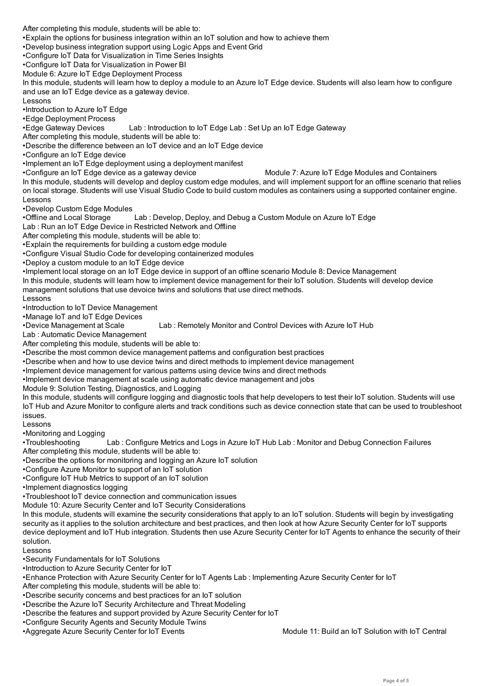$\bullet$  . The options for business integration with an IoT solution and how to achieve them in IoT solution and how to achieve them in •Develop business integration support using Logic Apps and Event Grid

•Configure IoT Data for Visualization in Time Series Insights

•Configure IoT Data for Visualization in Power BI

Module 6: Azure IoT Edge Deployment Process

In this module, students will learn how to deploy a module to an Azure IoT Edge device. Students will also learn how to configure and use an IoT Edge device as a gateway device.

Lessons

•Introduction to Azure IoT Edge

•Edge Deployment Process

•Edge Gateway Devices Lab : Introduction to IoT Edge Lab : Set Up an IoT Edge Gateway

After completing this module, students will be able to:

•Describe the difference between an IoT device and an IoT Edge device

•Configure an IoT Edge device

•Implement an IoT Edge deployment using a deployment manifest

•Configure an IoT Edge device as a gateway device Module 7: Azure IoT Edge Modules and Containers

In this module, students will develop and deploy custom edge modules, and will implement support for an offline scenario that relies on local storage. Students will use Visual Studio Code to build custom modules as containers using a supported container engine. Lessons

•Develop Custom Edge Modules

•Offline and Local Storage Lab : Develop, Deploy, and Debug a Custom Module on Azure IoT Edge

Lab : Run an IoT Edge Device in Restricted Network and Offline

After completing this module, students will be able to:

•Explain the requirements for building a custom edge module

•Configure Visual Studio Code for developing containerized modules

•Deploy a custom module to an IoT Edge device

•Implement local storage on an IoT Edge device in support of an offline scenario Module 8: Device Management

In this module, students will learn how to implement device management for their IoT solution. Students will develop device management solutions that use devoice twins and solutions that use direct methods.

Lessons

•Introduction to IoT Device Management

•Manage IoT and IoT Edge Devices

•Device Management at Scale Lab : Remotely Monitor and Control Devices with Azure IoT Hub

Lab : Automatic Device Management

After completing this module, students will be able to:

•Describe the most common device management patterns and configuration best practices

•Describe when and how to use device twins and direct methods to implement device management

•Implement device management for various patterns using device twins and direct methods

•Implement device management at scale using automatic device management and jobs

Module 9: Solution Testing, Diagnostics, and Logging

In this module, students will configure logging and diagnostic tools that help developers to test their IoT solution. Students will use IoT Hub and Azure Monitor to configure alerts and track conditions such as device connection state that can be used to troubleshoot issues.

Lessons

•Monitoring and Logging

•Troubleshooting Lab : Configure Metrics and Logs in Azure IoT Hub Lab : Monitor and Debug Connection Failures After completing this module, students will be able to:

•Describe the options for monitoring and logging an Azure IoT solution

•Configure Azure Monitor to support of an IoT solution

•Configure IoT Hub Metrics to support of an IoT solution

•Implement diagnostics logging

•Troubleshoot IoT device connection and communication issues

Module 10: Azure Security Center and IoT Security Considerations

In this module, students will examine the security considerations that apply to an IoT solution. Students will begin by investigating security as it applies to the solution architecture and best practices, and then look at how Azure Security Center for IoT supports device deployment and IoT Hub integration. Students then use Azure Security Center for IoT Agents to enhance the security of their solution.

Lessons

•Security Fundamentals for IoT Solutions

•Introduction to Azure Security Center for IoT

•Enhance Protection with Azure Security Center for IoT Agents Lab : Implementing Azure Security Center for IoT

After completing this module, students will be able to:

•Describe security concerns and best practices for an IoT solution

•Describe the Azure IoT Security Architecture and Threat Modeling

•Describe the features and support provided by Azure Security Center for IoT

•Configure Security Agents and Security Module Twins

•Aggregate Azure Security Center for IoT Events Music Module 11: Build an IoT Solution with IoT Central